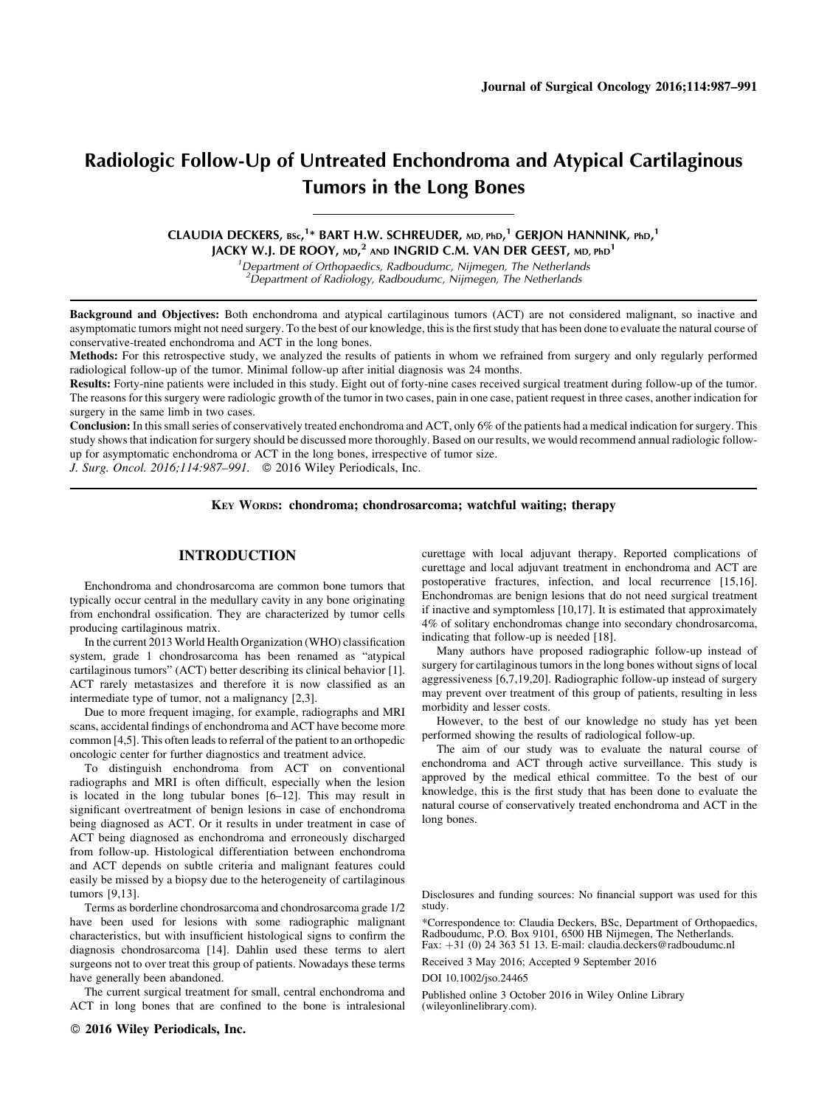# Radiologic Follow-Up of Untreated Enchondroma and Atypical Cartilaginous Tumors in the Long Bones

CLAUDIA DECKERS, BSc,<sup>1\*</sup> BART H.W. SCHREUDER, md, phd,<sup>1</sup> GERJON HANNINK, phd,<sup>1</sup> JACKY W.J. DE ROOY, md, $^2$  and INGRID C.M. VAN DER GEEST, md, phd $^1$ 

> <sup>1</sup> Department of Orthopaedics, Radboudumc, Nijmegen, The Netherlands  $2$ Department of Radiology, Radboudumc, Nijmegen, The Netherlands

Background and Objectives: Both enchondroma and atypical cartilaginous tumors (ACT) are not considered malignant, so inactive and asymptomatic tumors might not need surgery. To the best of our knowledge, this is the first study that has been done to evaluate the natural course of conservative-treated enchondroma and ACT in the long bones.

Methods: For this retrospective study, we analyzed the results of patients in whom we refrained from surgery and only regularly performed radiological follow-up of the tumor. Minimal follow-up after initial diagnosis was 24 months.

Results: Forty-nine patients were included in this study. Eight out of forty-nine cases received surgical treatment during follow-up of the tumor. The reasons for this surgery were radiologic growth of the tumor in two cases, pain in one case, patient request in three cases, another indication for surgery in the same limb in two cases.

Conclusion: In this small series of conservatively treated enchondroma and ACT, only 6% of the patients had a medical indication for surgery. This study shows that indication for surgery should be discussed more thoroughly. Based on our results, we would recommend annual radiologic followup for asymptomatic enchondroma or ACT in the long bones, irrespective of tumor size.

J. Surg. Oncol. 2016;114:987-991. © 2016 Wiley Periodicals, Inc.

## KEY WORDS: chondroma; chondrosarcoma; watchful waiting; therapy

# INTRODUCTION

Enchondroma and chondrosarcoma are common bone tumors that typically occur central in the medullary cavity in any bone originating from enchondral ossification. They are characterized by tumor cells producing cartilaginous matrix.

In the current 2013 World Health Organization (WHO) classification system, grade 1 chondrosarcoma has been renamed as "atypical cartilaginous tumors" (ACT) better describing its clinical behavior [1]. ACT rarely metastasizes and therefore it is now classified as an intermediate type of tumor, not a malignancy [2,3].

Due to more frequent imaging, for example, radiographs and MRI scans, accidental findings of enchondroma and ACT have become more common [4,5]. This often leads to referral of the patient to an orthopedic oncologic center for further diagnostics and treatment advice.

To distinguish enchondroma from ACT on conventional radiographs and MRI is often difficult, especially when the lesion is located in the long tubular bones [6–12]. This may result in significant overtreatment of benign lesions in case of enchondroma being diagnosed as ACT. Or it results in under treatment in case of ACT being diagnosed as enchondroma and erroneously discharged from follow-up. Histological differentiation between enchondroma and ACT depends on subtle criteria and malignant features could easily be missed by a biopsy due to the heterogeneity of cartilaginous tumors [9,13].

Terms as borderline chondrosarcoma and chondrosarcoma grade 1/2 have been used for lesions with some radiographic malignant characteristics, but with insufficient histological signs to confirm the diagnosis chondrosarcoma [14]. Dahlin used these terms to alert surgeons not to over treat this group of patients. Nowadays these terms have generally been abandoned.

The current surgical treatment for small, central enchondroma and ACT in long bones that are confined to the bone is intralesional

2016 Wiley Periodicals, Inc.

curettage with local adjuvant therapy. Reported complications of curettage and local adjuvant treatment in enchondroma and ACT are postoperative fractures, infection, and local recurrence [15,16]. Enchondromas are benign lesions that do not need surgical treatment if inactive and symptomless [10,17]. It is estimated that approximately 4% of solitary enchondromas change into secondary chondrosarcoma, indicating that follow-up is needed [18].

Many authors have proposed radiographic follow-up instead of surgery for cartilaginous tumors in the long bones without signs of local aggressiveness [6,7,19,20]. Radiographic follow-up instead of surgery may prevent over treatment of this group of patients, resulting in less morbidity and lesser costs.

However, to the best of our knowledge no study has yet been performed showing the results of radiological follow-up.

The aim of our study was to evaluate the natural course of enchondroma and ACT through active surveillance. This study is approved by the medical ethical committee. To the best of our knowledge, this is the first study that has been done to evaluate the natural course of conservatively treated enchondroma and ACT in the long bones.

Disclosures and funding sources: No financial support was used for this study.

\*Correspondence to: Claudia Deckers, BSc, Department of Orthopaedics, Radboudumc, P.O. Box 9101, 6500 HB Nijmegen, The Netherlands. Fax: +31 (0) 24 363 51 13. E-mail: claudia.deckers@radboudumc.nl

Received 3 May 2016; Accepted 9 September 2016

#### DOI 10.1002/jso.24465

Published online 3 October 2016 in Wiley Online Library (wileyonlinelibrary.com).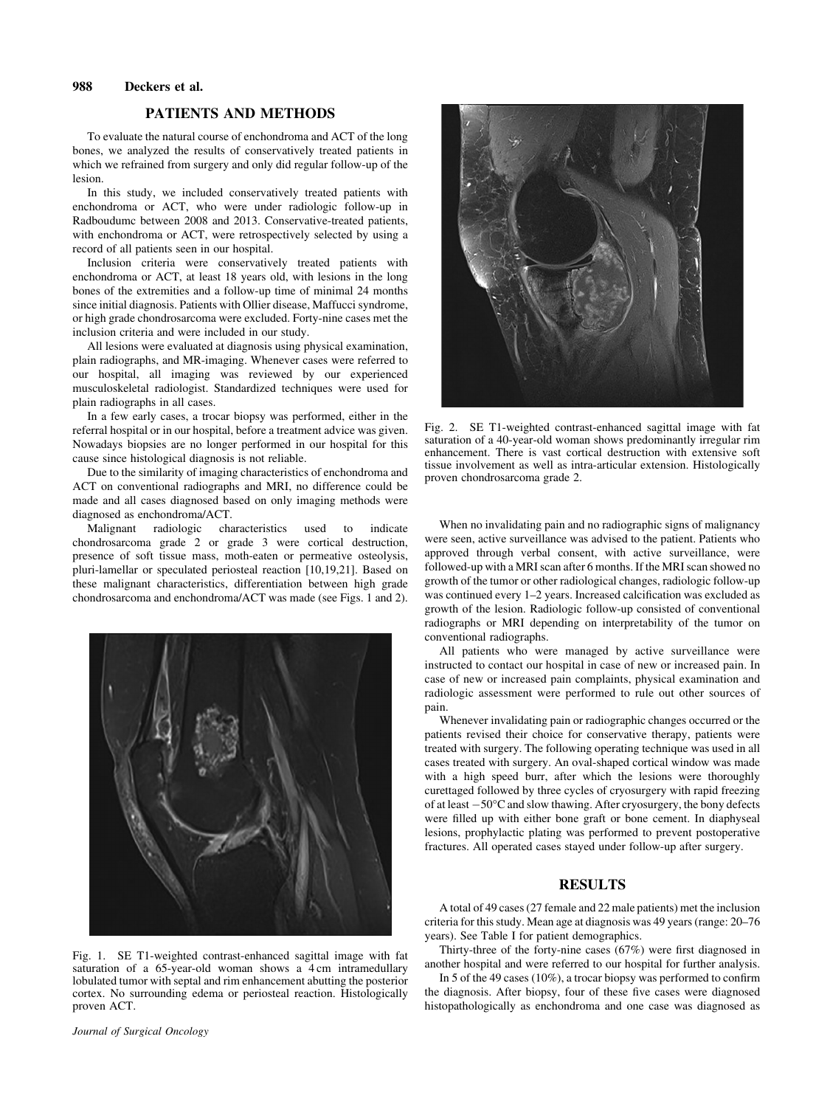# 988 Deckers et al.

# PATIENTS AND METHODS

To evaluate the natural course of enchondroma and ACT of the long bones, we analyzed the results of conservatively treated patients in which we refrained from surgery and only did regular follow-up of the lesion.

In this study, we included conservatively treated patients with enchondroma or ACT, who were under radiologic follow-up in Radboudumc between 2008 and 2013. Conservative-treated patients, with enchondroma or ACT, were retrospectively selected by using a record of all patients seen in our hospital.

Inclusion criteria were conservatively treated patients with enchondroma or ACT, at least 18 years old, with lesions in the long bones of the extremities and a follow-up time of minimal 24 months since initial diagnosis. Patients with Ollier disease, Maffucci syndrome, or high grade chondrosarcoma were excluded. Forty-nine cases met the inclusion criteria and were included in our study.

All lesions were evaluated at diagnosis using physical examination, plain radiographs, and MR-imaging. Whenever cases were referred to our hospital, all imaging was reviewed by our experienced musculoskeletal radiologist. Standardized techniques were used for plain radiographs in all cases.

In a few early cases, a trocar biopsy was performed, either in the referral hospital or in our hospital, before a treatment advice was given. Nowadays biopsies are no longer performed in our hospital for this cause since histological diagnosis is not reliable.

Due to the similarity of imaging characteristics of enchondroma and ACT on conventional radiographs and MRI, no difference could be made and all cases diagnosed based on only imaging methods were diagnosed as enchondroma/ACT.<br>Malignant radiologic cha

characteristics used to indicate chondrosarcoma grade 2 or grade 3 were cortical destruction, presence of soft tissue mass, moth-eaten or permeative osteolysis, pluri-lamellar or speculated periosteal reaction [10,19,21]. Based on these malignant characteristics, differentiation between high grade chondrosarcoma and enchondroma/ACT was made (see Figs. 1 and 2).



Fig. 1. SE T1-weighted contrast-enhanced sagittal image with fat saturation of a 65-year-old woman shows a 4 cm intramedullary lobulated tumor with septal and rim enhancement abutting the posterior cortex. No surrounding edema or periosteal reaction. Histologically proven ACT.



Fig. 2. SE T1-weighted contrast-enhanced sagittal image with fat saturation of a 40-year-old woman shows predominantly irregular rim enhancement. There is vast cortical destruction with extensive soft tissue involvement as well as intra-articular extension. Histologically proven chondrosarcoma grade 2.

When no invalidating pain and no radiographic signs of malignancy were seen, active surveillance was advised to the patient. Patients who approved through verbal consent, with active surveillance, were followed-up with a MRI scan after 6 months. If the MRI scan showed no growth of the tumor or other radiological changes, radiologic follow-up was continued every 1–2 years. Increased calcification was excluded as growth of the lesion. Radiologic follow-up consisted of conventional radiographs or MRI depending on interpretability of the tumor on conventional radiographs.

All patients who were managed by active surveillance were instructed to contact our hospital in case of new or increased pain. In case of new or increased pain complaints, physical examination and radiologic assessment were performed to rule out other sources of pain.

Whenever invalidating pain or radiographic changes occurred or the patients revised their choice for conservative therapy, patients were treated with surgery. The following operating technique was used in all cases treated with surgery. An oval-shaped cortical window was made with a high speed burr, after which the lesions were thoroughly curettaged followed by three cycles of cryosurgery with rapid freezing of at least -50°C and slow thawing. After cryosurgery, the bony defects were filled up with either bone graft or bone cement. In diaphyseal lesions, prophylactic plating was performed to prevent postoperative fractures. All operated cases stayed under follow-up after surgery.

## RESULTS

A total of 49 cases (27 female and 22 male patients) met the inclusion criteria for this study. Mean age at diagnosis was 49 years (range: 20–76 years). See Table I for patient demographics.

Thirty-three of the forty-nine cases (67%) were first diagnosed in another hospital and were referred to our hospital for further analysis.

In 5 of the 49 cases (10%), a trocar biopsy was performed to confirm the diagnosis. After biopsy, four of these five cases were diagnosed histopathologically as enchondroma and one case was diagnosed as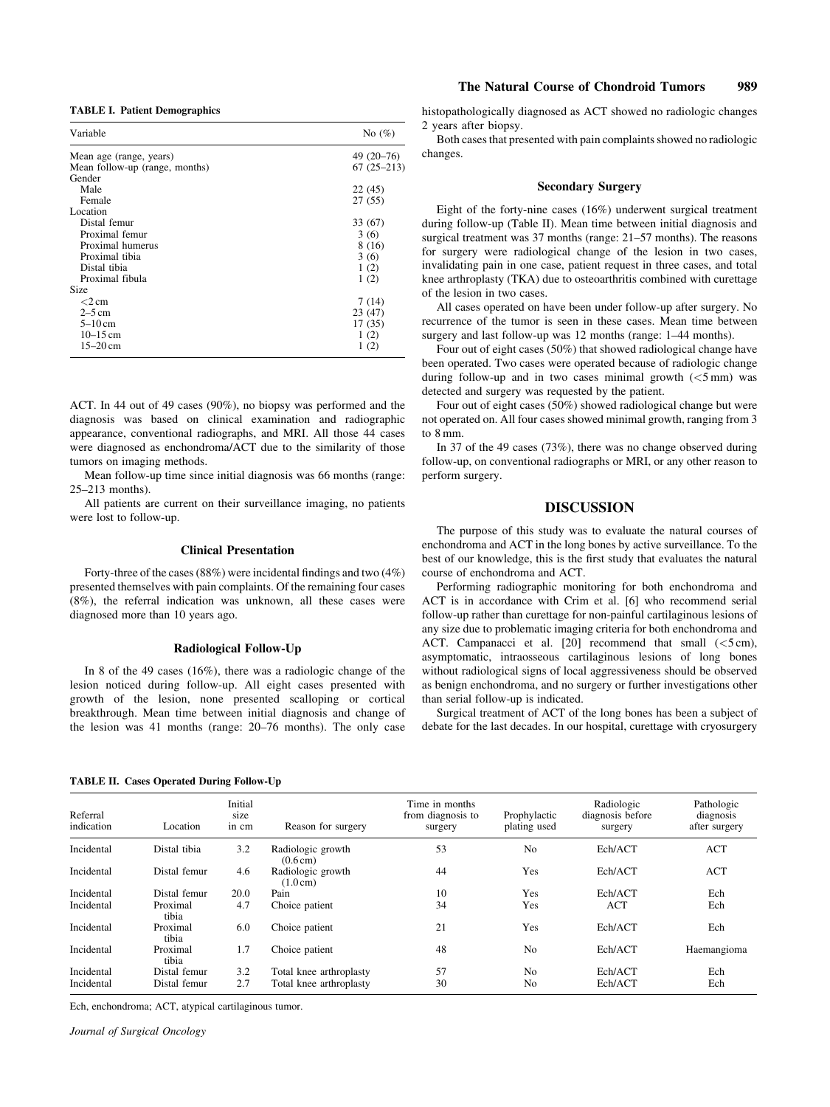TABLE I. Patient Demographics

| Variable                       | No $(\%)$    |  |
|--------------------------------|--------------|--|
| Mean age (range, years)        | $49(20-76)$  |  |
| Mean follow-up (range, months) | $67(25-213)$ |  |
| Gender                         |              |  |
| Male                           | 22 (45)      |  |
| Female                         | 27(55)       |  |
| Location                       |              |  |
| Distal femur                   | 33 (67)      |  |
| Proximal femur                 | 3(6)         |  |
| Proximal humerus               | 8 (16)       |  |
| Proximal tibia                 | 3(6)         |  |
| Distal tibia                   | 1(2)         |  |
| Proximal fibula                | 1(2)         |  |
| Size                           |              |  |
| $<$ 2 cm                       | 7(14)        |  |
| $2-5$ cm                       | 23 (47)      |  |
| $5-10$ cm                      | 17(35)       |  |
| $10 - 15$ cm                   | 1(2)         |  |
| $15 - 20$ cm                   | 1(2)         |  |
|                                |              |  |

ACT. In 44 out of 49 cases (90%), no biopsy was performed and the diagnosis was based on clinical examination and radiographic appearance, conventional radiographs, and MRI. All those 44 cases were diagnosed as enchondroma/ACT due to the similarity of those tumors on imaging methods.

Mean follow-up time since initial diagnosis was 66 months (range: 25–213 months).

All patients are current on their surveillance imaging, no patients were lost to follow-up.

## Clinical Presentation

Forty-three of the cases (88%) were incidental findings and two (4%) presented themselves with pain complaints. Of the remaining four cases (8%), the referral indication was unknown, all these cases were diagnosed more than 10 years ago.

#### Radiological Follow-Up

In 8 of the 49 cases (16%), there was a radiologic change of the lesion noticed during follow-up. All eight cases presented with growth of the lesion, none presented scalloping or cortical breakthrough. Mean time between initial diagnosis and change of the lesion was 41 months (range: 20–76 months). The only case

# The Natural Course of Chondroid Tumors 989

histopathologically diagnosed as ACT showed no radiologic changes 2 years after biopsy.

Both cases that presented with pain complaints showed no radiologic changes.

## Secondary Surgery

Eight of the forty-nine cases (16%) underwent surgical treatment during follow-up (Table II). Mean time between initial diagnosis and surgical treatment was 37 months (range: 21–57 months). The reasons for surgery were radiological change of the lesion in two cases, invalidating pain in one case, patient request in three cases, and total knee arthroplasty (TKA) due to osteoarthritis combined with curettage of the lesion in two cases.

All cases operated on have been under follow-up after surgery. No recurrence of the tumor is seen in these cases. Mean time between surgery and last follow-up was 12 months (range:  $1-44$  months).

Four out of eight cases (50%) that showed radiological change have been operated. Two cases were operated because of radiologic change during follow-up and in two cases minimal growth  $(<5$  mm) was detected and surgery was requested by the patient.

Four out of eight cases (50%) showed radiological change but were not operated on. All four cases showed minimal growth, ranging from 3 to 8 mm.

In 37 of the 49 cases (73%), there was no change observed during follow-up, on conventional radiographs or MRI, or any other reason to perform surgery.

# DISCUSSION

The purpose of this study was to evaluate the natural courses of enchondroma and ACT in the long bones by active surveillance. To the best of our knowledge, this is the first study that evaluates the natural course of enchondroma and ACT.

Performing radiographic monitoring for both enchondroma and ACT is in accordance with Crim et al. [6] who recommend serial follow-up rather than curettage for non-painful cartilaginous lesions of any size due to problematic imaging criteria for both enchondroma and ACT. Campanacci et al. [20] recommend that small (<5 cm), asymptomatic, intraosseous cartilaginous lesions of long bones without radiological signs of local aggressiveness should be observed as benign enchondroma, and no surgery or further investigations other than serial follow-up is indicated.

Surgical treatment of ACT of the long bones has been a subject of debate for the last decades. In our hospital, curettage with cryosurgery

## TABLE II. Cases Operated During Follow-Up

| Referral<br>indication | Location          | Initial<br>size<br>in cm | Reason for surgery                      | Time in months<br>from diagnosis to<br>surgery | Prophylactic<br>plating used | Radiologic<br>diagnosis before<br>surgery | Pathologic<br>diagnosis<br>after surgery |
|------------------------|-------------------|--------------------------|-----------------------------------------|------------------------------------------------|------------------------------|-------------------------------------------|------------------------------------------|
| Incidental             | Distal tibia      | 3.2                      | Radiologic growth<br>$(0.6 \text{ cm})$ | 53                                             | N <sub>0</sub>               | Ech/ACT                                   | ACT                                      |
| Incidental             | Distal femur      | 4.6                      | Radiologic growth<br>$(1.0 \text{ cm})$ | 44                                             | Yes                          | Ech/ACT                                   | <b>ACT</b>                               |
| Incidental             | Distal femur      | 20.0                     | Pain                                    | 10                                             | Yes                          | Ech/ACT                                   | Ech                                      |
| Incidental             | Proximal<br>tibia | 4.7                      | Choice patient                          | 34                                             | Yes                          | ACT                                       | Ech                                      |
| Incidental             | Proximal<br>tibia | 6.0                      | Choice patient                          | 21                                             | Yes                          | Ech/ACT                                   | Ech                                      |
| Incidental             | Proximal<br>tibia | 1.7                      | Choice patient                          | 48                                             | No                           | Ech/ACT                                   | Haemangioma                              |
| Incidental             | Distal femur      | 3.2                      | Total knee arthroplasty                 | 57                                             | No                           | Ech/ACT                                   | Ech                                      |
| Incidental             | Distal femur      | 2.7                      | Total knee arthroplasty                 | 30                                             | No                           | Ech/ACT                                   | Ech                                      |

Ech, enchondroma; ACT, atypical cartilaginous tumor.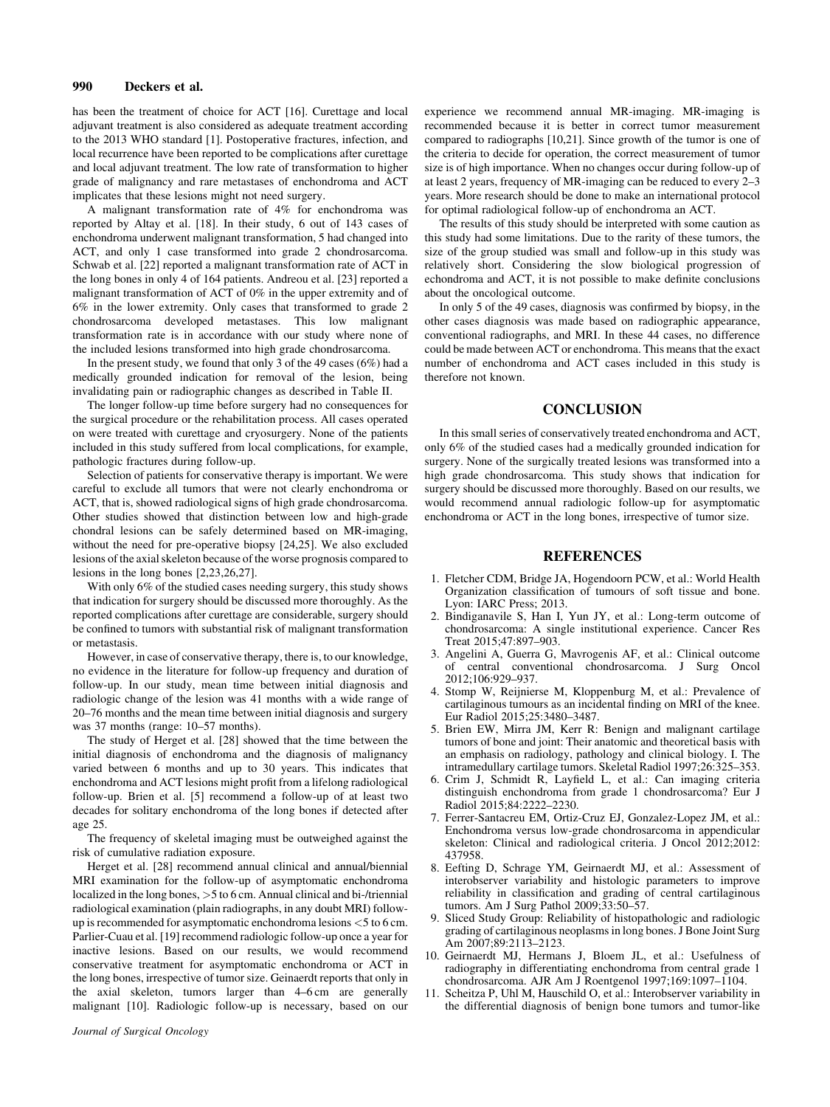# 990 Deckers et al.

has been the treatment of choice for ACT [16]. Curettage and local adjuvant treatment is also considered as adequate treatment according to the 2013 WHO standard [1]. Postoperative fractures, infection, and local recurrence have been reported to be complications after curettage and local adjuvant treatment. The low rate of transformation to higher grade of malignancy and rare metastases of enchondroma and ACT implicates that these lesions might not need surgery.

A malignant transformation rate of 4% for enchondroma was reported by Altay et al. [18]. In their study, 6 out of 143 cases of enchondroma underwent malignant transformation, 5 had changed into ACT, and only 1 case transformed into grade 2 chondrosarcoma. Schwab et al. [22] reported a malignant transformation rate of ACT in the long bones in only 4 of 164 patients. Andreou et al. [23] reported a malignant transformation of ACT of 0% in the upper extremity and of 6% in the lower extremity. Only cases that transformed to grade 2 chondrosarcoma developed metastases. This low malignant transformation rate is in accordance with our study where none of the included lesions transformed into high grade chondrosarcoma.

In the present study, we found that only 3 of the 49 cases (6%) had a medically grounded indication for removal of the lesion, being invalidating pain or radiographic changes as described in Table II.

The longer follow-up time before surgery had no consequences for the surgical procedure or the rehabilitation process. All cases operated on were treated with curettage and cryosurgery. None of the patients included in this study suffered from local complications, for example, pathologic fractures during follow-up.

Selection of patients for conservative therapy is important. We were careful to exclude all tumors that were not clearly enchondroma or ACT, that is, showed radiological signs of high grade chondrosarcoma. Other studies showed that distinction between low and high-grade chondral lesions can be safely determined based on MR-imaging, without the need for pre-operative biopsy [24,25]. We also excluded lesions of the axial skeleton because of the worse prognosis compared to lesions in the long bones [2,23,26,27].

With only 6% of the studied cases needing surgery, this study shows that indication for surgery should be discussed more thoroughly. As the reported complications after curettage are considerable, surgery should be confined to tumors with substantial risk of malignant transformation or metastasis.

However, in case of conservative therapy, there is, to our knowledge, no evidence in the literature for follow-up frequency and duration of follow-up. In our study, mean time between initial diagnosis and radiologic change of the lesion was 41 months with a wide range of 20–76 months and the mean time between initial diagnosis and surgery was 37 months (range: 10–57 months).

The study of Herget et al. [28] showed that the time between the initial diagnosis of enchondroma and the diagnosis of malignancy varied between 6 months and up to 30 years. This indicates that enchondroma and ACT lesions might profit from a lifelong radiological follow-up. Brien et al. [5] recommend a follow-up of at least two decades for solitary enchondroma of the long bones if detected after age 25.

The frequency of skeletal imaging must be outweighed against the risk of cumulative radiation exposure.

Herget et al. [28] recommend annual clinical and annual/biennial MRI examination for the follow-up of asymptomatic enchondroma localized in the long bones, >5 to 6 cm. Annual clinical and bi-/triennial radiological examination (plain radiographs, in any doubt MRI) followup is recommended for asymptomatic enchondroma lesions <5 to 6 cm. Parlier-Cuau et al. [19] recommend radiologic follow-up once a year for inactive lesions. Based on our results, we would recommend conservative treatment for asymptomatic enchondroma or ACT in the long bones, irrespective of tumor size. Geinaerdt reports that only in the axial skeleton, tumors larger than 4–6 cm are generally malignant [10]. Radiologic follow-up is necessary, based on our

experience we recommend annual MR-imaging. MR-imaging is recommended because it is better in correct tumor measurement compared to radiographs [10,21]. Since growth of the tumor is one of the criteria to decide for operation, the correct measurement of tumor size is of high importance. When no changes occur during follow-up of at least 2 years, frequency of MR-imaging can be reduced to every 2–3 years. More research should be done to make an international protocol for optimal radiological follow-up of enchondroma an ACT.

The results of this study should be interpreted with some caution as this study had some limitations. Due to the rarity of these tumors, the size of the group studied was small and follow-up in this study was relatively short. Considering the slow biological progression of echondroma and ACT, it is not possible to make definite conclusions about the oncological outcome.

In only 5 of the 49 cases, diagnosis was confirmed by biopsy, in the other cases diagnosis was made based on radiographic appearance, conventional radiographs, and MRI. In these 44 cases, no difference could be made between ACT or enchondroma. This means that the exact number of enchondroma and ACT cases included in this study is therefore not known.

# **CONCLUSION**

In this small series of conservatively treated enchondroma and ACT, only 6% of the studied cases had a medically grounded indication for surgery. None of the surgically treated lesions was transformed into a high grade chondrosarcoma. This study shows that indication for surgery should be discussed more thoroughly. Based on our results, we would recommend annual radiologic follow-up for asymptomatic enchondroma or ACT in the long bones, irrespective of tumor size.

## REFERENCES

- 1. Fletcher CDM, Bridge JA, Hogendoorn PCW, et al.: World Health Organization classification of tumours of soft tissue and bone. Lyon: IARC Press; 2013.
- 2. Bindiganavile S, Han I, Yun JY, et al.: Long-term outcome of chondrosarcoma: A single institutional experience. Cancer Res Treat 2015;47:897–903.
- 3. Angelini A, Guerra G, Mavrogenis AF, et al.: Clinical outcome of central conventional chondrosarcoma. J Surg Oncol 2012;106:929–937.
- 4. Stomp W, Reijnierse M, Kloppenburg M, et al.: Prevalence of cartilaginous tumours as an incidental finding on MRI of the knee. Eur Radiol 2015;25:3480–3487.
- 5. Brien EW, Mirra JM, Kerr R: Benign and malignant cartilage tumors of bone and joint: Their anatomic and theoretical basis with an emphasis on radiology, pathology and clinical biology. I. The intramedullary cartilage tumors. Skeletal Radiol 1997;26:325–353.
- 6. Crim J, Schmidt R, Layfield L, et al.: Can imaging criteria distinguish enchondroma from grade 1 chondrosarcoma? Eur J Radiol 2015;84:2222–2230.
- 7. Ferrer-Santacreu EM, Ortiz-Cruz EJ, Gonzalez-Lopez JM, et al.: Enchondroma versus low-grade chondrosarcoma in appendicular skeleton: Clinical and radiological criteria. J Oncol 2012;2012: 437958.
- 8. Eefting D, Schrage YM, Geirnaerdt MJ, et al.: Assessment of interobserver variability and histologic parameters to improve reliability in classification and grading of central cartilaginous tumors. Am J Surg Pathol 2009;33:50–57.
- 9. Sliced Study Group: Reliability of histopathologic and radiologic grading of cartilaginous neoplasms in long bones. J Bone Joint Surg Am 2007;89:2113–2123.
- 10. Geirnaerdt MJ, Hermans J, Bloem JL, et al.: Usefulness of radiography in differentiating enchondroma from central grade 1 chondrosarcoma. AJR Am J Roentgenol 1997;169:1097–1104.
- 11. Scheitza P, Uhl M, Hauschild O, et al.: Interobserver variability in the differential diagnosis of benign bone tumors and tumor-like